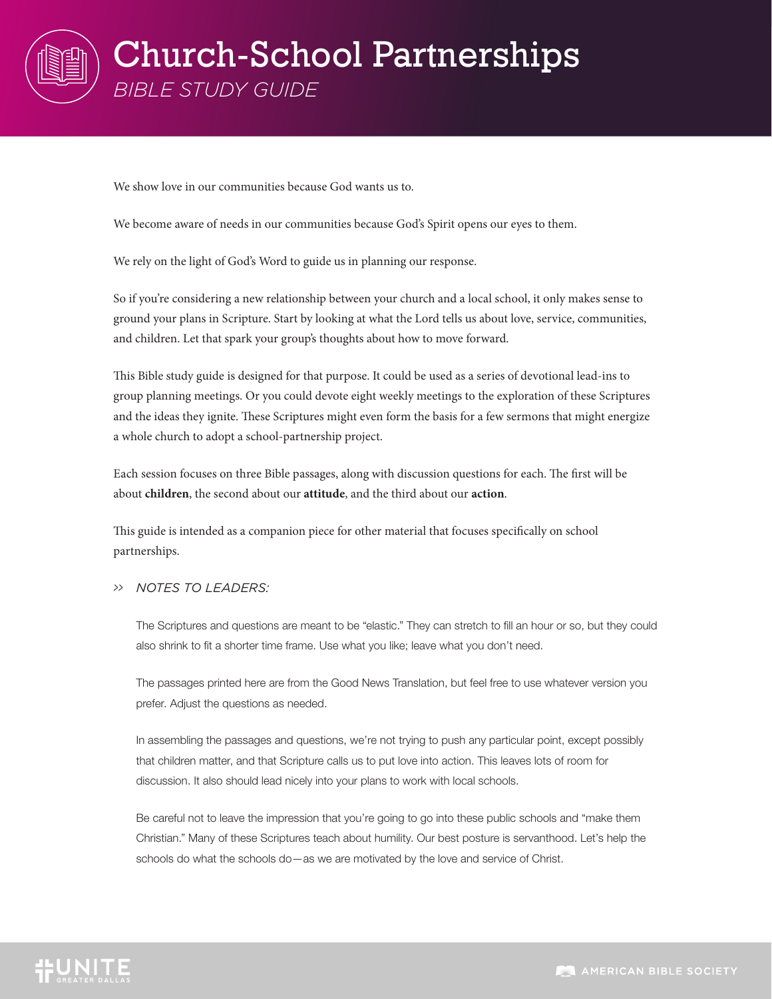

We show love in our communities because God wants us to.

We become aware of needs in our communities because God's Spirit opens our eyes to them.

We rely on the light of God's Word to guide us in planning our response.

So if you're considering a new relationship between your church and a local school, it only makes sense to ground your plans in Scripture. Start by looking at what the Lord tells us about love, service, communities, and children. Let that spark your group's thoughts about how to move forward.

This Bible study guide is designed for that purpose. It could be used as a series of devotional lead-ins to group planning meetings. Or you could devote eight weekly meetings to the exploration of these Scriptures and the ideas they ignite. These Scriptures might even form the basis for a few sermons that might energize a whole church to adopt a school-partnership project.

Each session focuses on three Bible passages, along with discussion questions for each. The first will be about **children**, the second about our **attitude**, and the third about our **action**.

This guide is intended as a companion piece for other material that focuses specifically on school partnerships.

#### *>> NOTES TO LEADERS:*

The Scriptures and questions are meant to be "elastic." They can stretch to fill an hour or so, but they could also shrink to fit a shorter time frame. Use what you like; leave what you don't need.

The passages printed here are from the Good News Translation, but feel free to use whatever version you prefer. Adjust the questions as needed.

In assembling the passages and questions, we're not trying to push any particular point, except possibly that children matter, and that Scripture calls us to put love into action. This leaves lots of room for discussion. It also should lead nicely into your plans to work with local schools.

Be careful not to leave the impression that you're going to go into these public schools and "make them Christian." Many of these Scriptures teach about humility. Our best posture is servanthood. Let's help the schools do what the schools do—as we are motivated by the love and service of Christ.

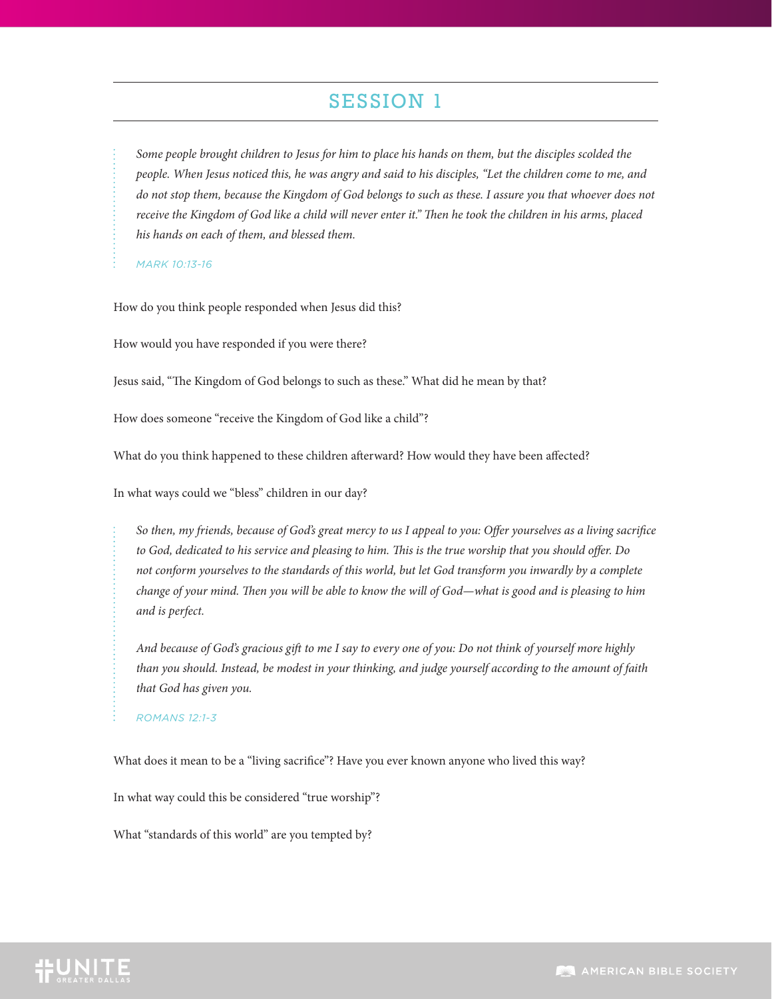*Some people brought children to Jesus for him to place his hands on them, but the disciples scolded the people. When Jesus noticed this, he was angry and said to his disciples, "Let the children come to me, and do not stop them, because the Kingdom of God belongs to such as these. I assure you that whoever does not receive the Kingdom of God like a child will never enter it." Then he took the children in his arms, placed his hands on each of them, and blessed them.*

*MARK 10:13-16*

How do you think people responded when Jesus did this?

How would you have responded if you were there?

Jesus said, "The Kingdom of God belongs to such as these." What did he mean by that?

How does someone "receive the Kingdom of God like a child"?

What do you think happened to these children afterward? How would they have been affected?

In what ways could we "bless" children in our day?

*So then, my friends, because of God's great mercy to us I appeal to you: Offer yourselves as a living sacrifice to God, dedicated to his service and pleasing to him. This is the true worship that you should offer. Do not conform yourselves to the standards of this world, but let God transform you inwardly by a complete change of your mind. Then you will be able to know the will of God—what is good and is pleasing to him and is perfect.*

*And because of God's gracious gift to me I say to every one of you: Do not think of yourself more highly than you should. Instead, be modest in your thinking, and judge yourself according to the amount of faith that God has given you.*

*ROMANS 12:1-3*

What does it mean to be a "living sacrifice"? Have you ever known anyone who lived this way?

In what way could this be considered "true worship"?

What "standards of this world" are you tempted by?

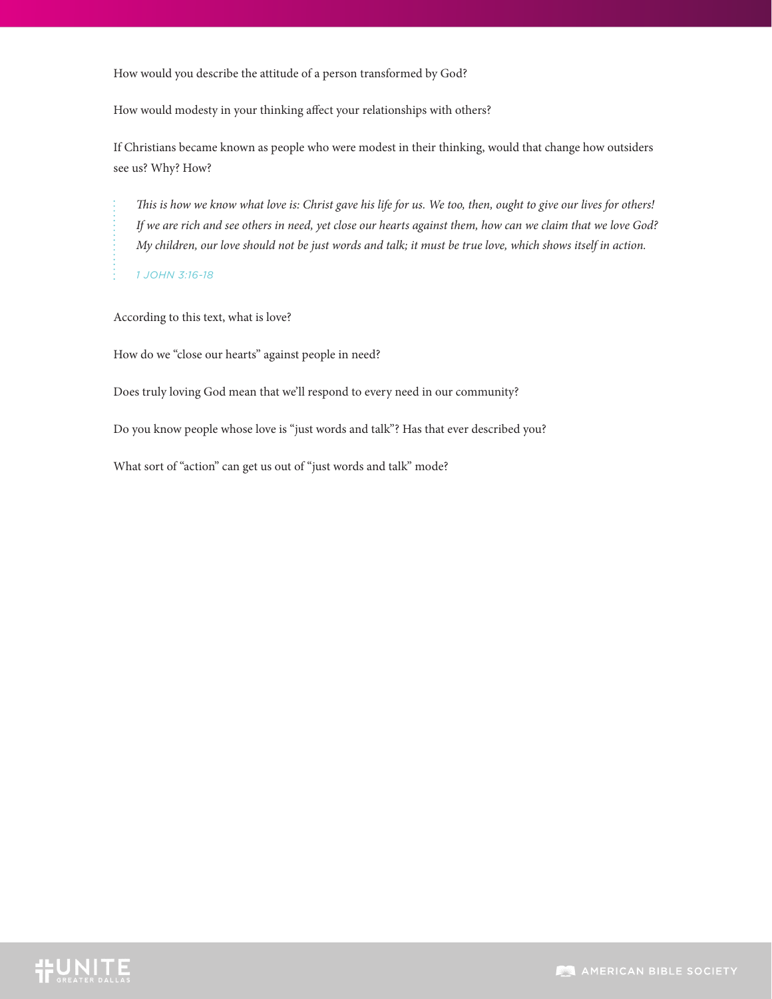How would you describe the attitude of a person transformed by God?

How would modesty in your thinking affect your relationships with others?

If Christians became known as people who were modest in their thinking, would that change how outsiders see us? Why? How?

*This is how we know what love is: Christ gave his life for us. We too, then, ought to give our lives for others! If we are rich and see others in need, yet close our hearts against them, how can we claim that we love God? My children, our love should not be just words and talk; it must be true love, which shows itself in action.*

*1 JOHN 3:16-18*

According to this text, what is love?

How do we "close our hearts" against people in need?

Does truly loving God mean that we'll respond to every need in our community?

Do you know people whose love is "just words and talk"? Has that ever described you?

What sort of "action" can get us out of "just words and talk" mode?

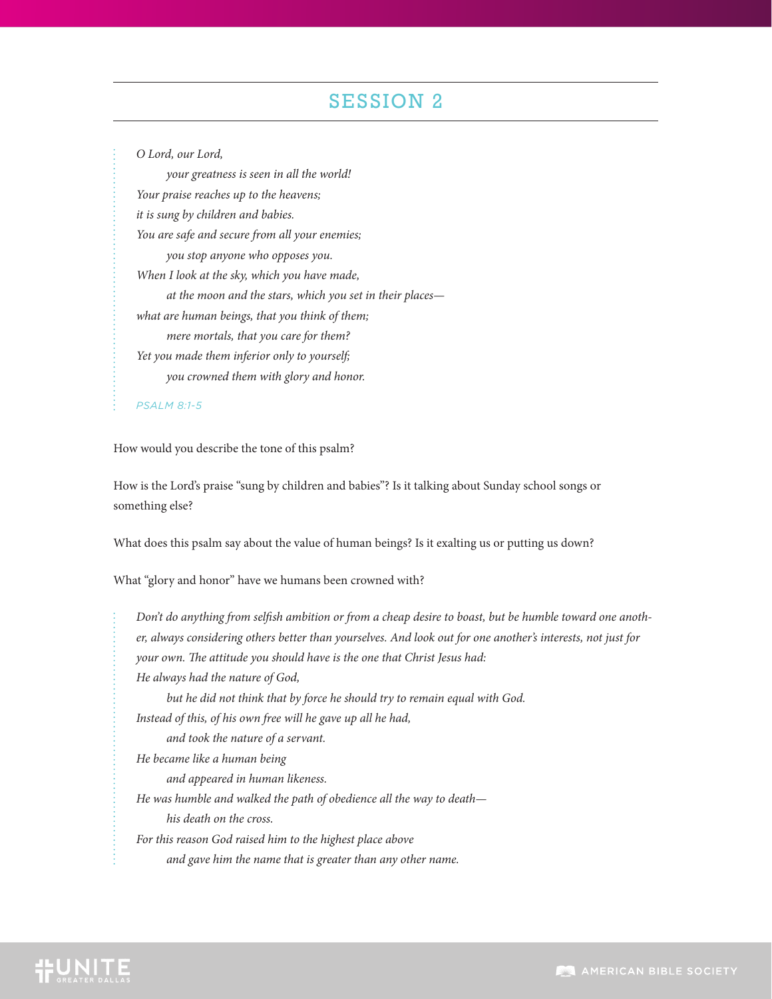*O Lord, our Lord,*

 *your greatness is seen in all the world! Your praise reaches up to the heavens; it is sung by children and babies. You are safe and secure from all your enemies; you stop anyone who opposes you. When I look at the sky, which you have made, at the moon and the stars, which you set in their places what are human beings, that you think of them; mere mortals, that you care for them? Yet you made them inferior only to yourself; you crowned them with glory and honor.*

*PSALM 8:1-5*

How would you describe the tone of this psalm?

How is the Lord's praise "sung by children and babies"? Is it talking about Sunday school songs or something else?

What does this psalm say about the value of human beings? Is it exalting us or putting us down?

What "glory and honor" have we humans been crowned with?

*Don't do anything from selfish ambition or from a cheap desire to boast, but be humble toward one another, always considering others better than yourselves. And look out for one another's interests, not just for your own. The attitude you should have is the one that Christ Jesus had: He always had the nature of God, but he did not think that by force he should try to remain equal with God. Instead of this, of his own free will he gave up all he had, and took the nature of a servant. He became like a human being and appeared in human likeness. He was humble and walked the path of obedience all the way to death his death on the cross. For this reason God raised him to the highest place above and gave him the name that is greater than any other name.*

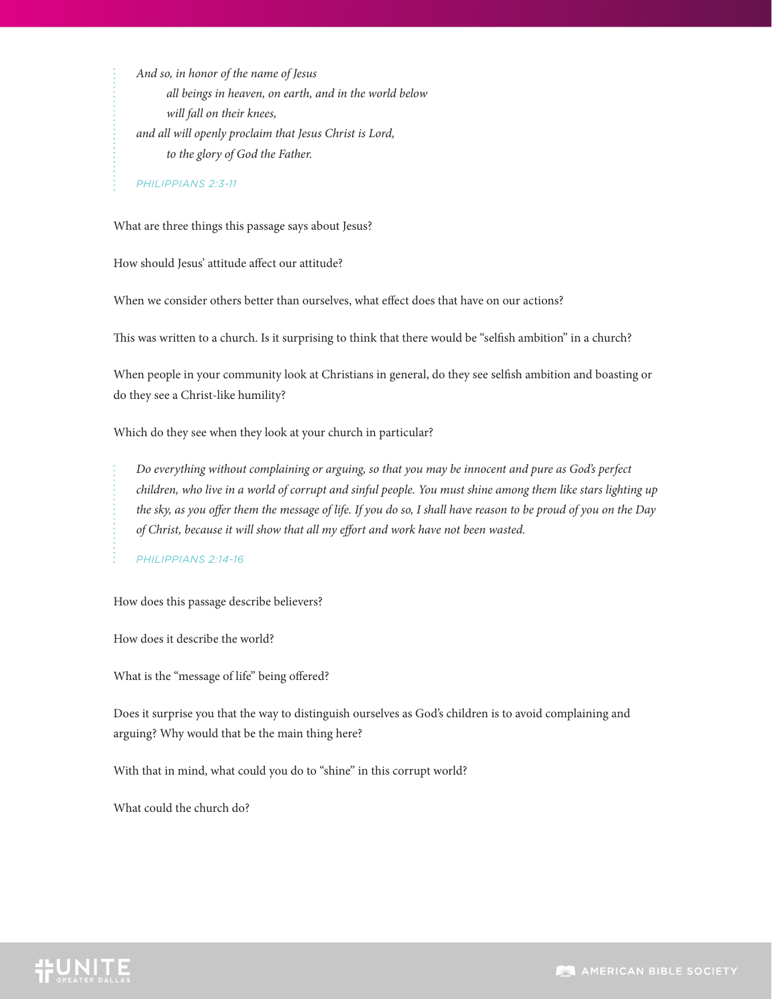*And so, in honor of the name of Jesus all beings in heaven, on earth, and in the world below will fall on their knees, and all will openly proclaim that Jesus Christ is Lord, to the glory of God the Father.*

*PHILIPPIANS 2:3-11*

What are three things this passage says about Jesus?

How should Jesus' attitude affect our attitude?

When we consider others better than ourselves, what effect does that have on our actions?

This was written to a church. Is it surprising to think that there would be "selfish ambition" in a church?

When people in your community look at Christians in general, do they see selfish ambition and boasting or do they see a Christ-like humility?

Which do they see when they look at your church in particular?

*Do everything without complaining or arguing, so that you may be innocent and pure as God's perfect children, who live in a world of corrupt and sinful people. You must shine among them like stars lighting up the sky, as you offer them the message of life. If you do so, I shall have reason to be proud of you on the Day of Christ, because it will show that all my effort and work have not been wasted.*

*PHILIPPIANS 2:14-16*

How does this passage describe believers?

How does it describe the world?

What is the "message of life" being offered?

Does it surprise you that the way to distinguish ourselves as God's children is to avoid complaining and arguing? Why would that be the main thing here?

With that in mind, what could you do to "shine" in this corrupt world?

What could the church do?

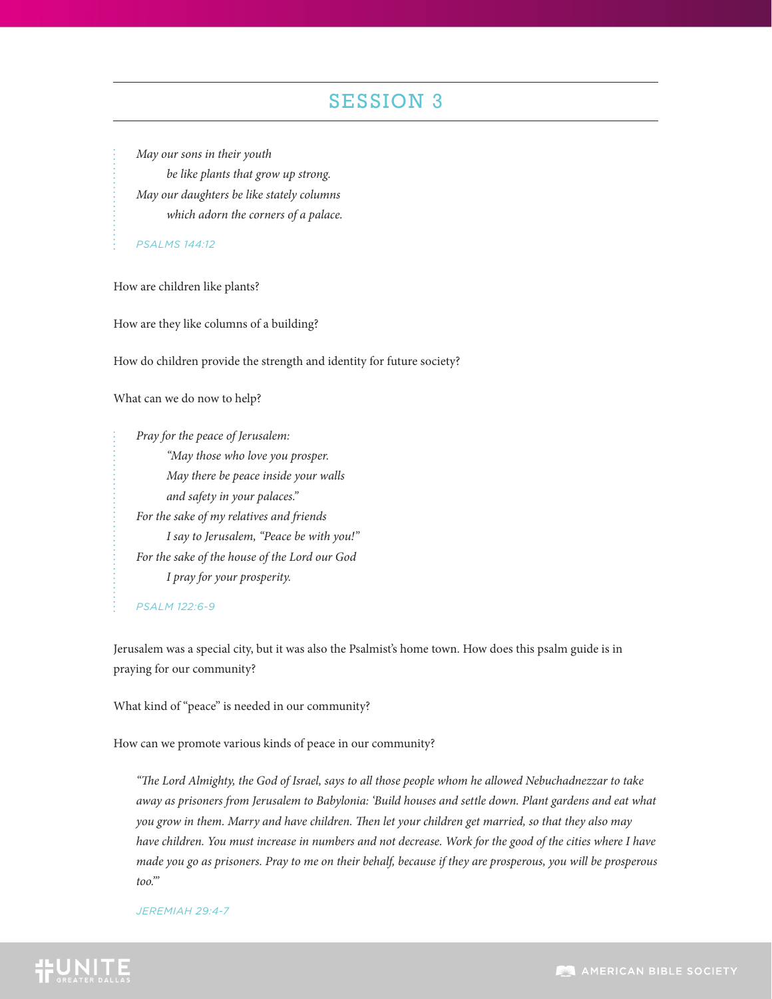*May our sons in their youth be like plants that grow up strong. May our daughters be like stately columns which adorn the corners of a palace.*

*PSALMS 144:12*

How are children like plants?

How are they like columns of a building?

How do children provide the strength and identity for future society?

What can we do now to help?

*Pray for the peace of Jerusalem: "May those who love you prosper. May there be peace inside your walls and safety in your palaces." For the sake of my relatives and friends I say to Jerusalem, "Peace be with you!" For the sake of the house of the Lord our God I pray for your prosperity.*

*PSALM 122:6-9*

Jerusalem was a special city, but it was also the Psalmist's home town. How does this psalm guide is in praying for our community?

What kind of "peace" is needed in our community?

How can we promote various kinds of peace in our community?

*"The Lord Almighty, the God of Israel, says to all those people whom he allowed Nebuchadnezzar to take away as prisoners from Jerusalem to Babylonia: 'Build houses and settle down. Plant gardens and eat what you grow in them. Marry and have children. Then let your children get married, so that they also may have children. You must increase in numbers and not decrease. Work for the good of the cities where I have made you go as prisoners. Pray to me on their behalf, because if they are prosperous, you will be prosperous too.'"*

#### *JEREMIAH 29:4-7*

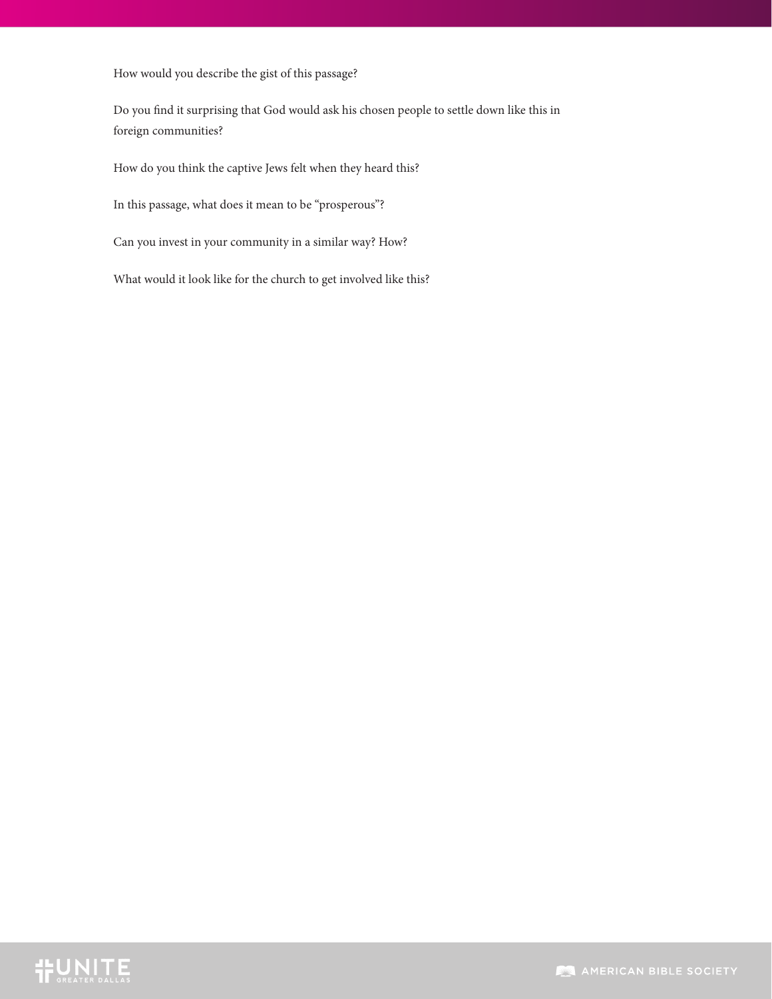How would you describe the gist of this passage?

Do you find it surprising that God would ask his chosen people to settle down like this in foreign communities?

How do you think the captive Jews felt when they heard this?

In this passage, what does it mean to be "prosperous"?

Can you invest in your community in a similar way? How?

What would it look like for the church to get involved like this?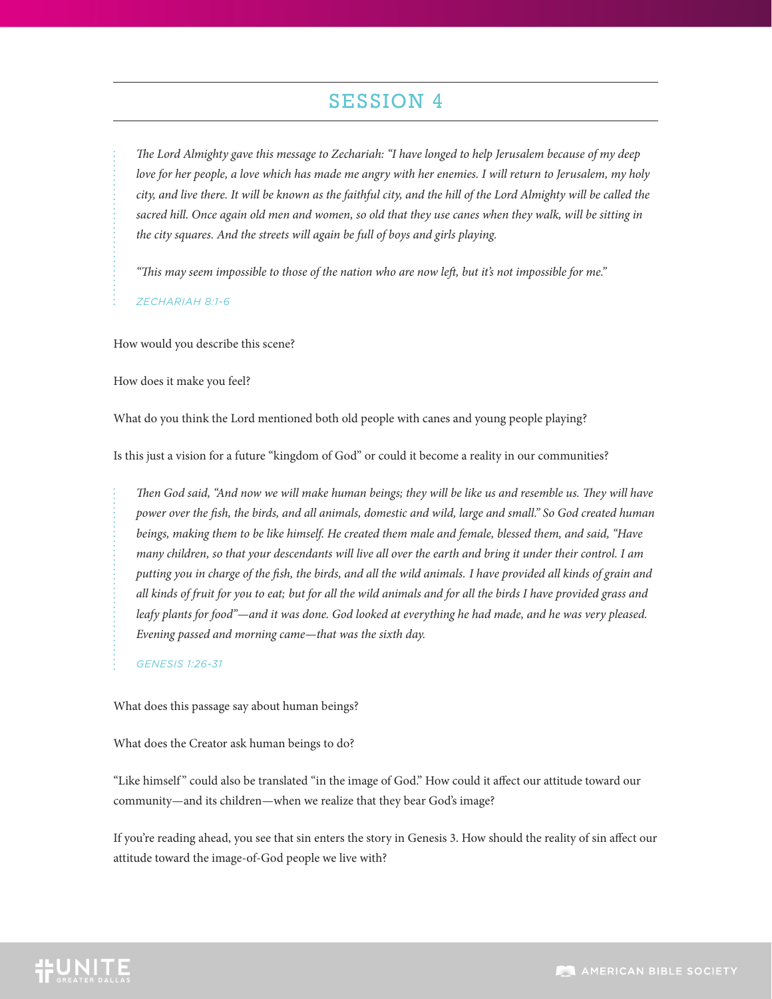*The Lord Almighty gave this message to Zechariah: "I have longed to help Jerusalem because of my deep love for her people, a love which has made me angry with her enemies. I will return to Jerusalem, my holy city, and live there. It will be known as the faithful city, and the hill of the Lord Almighty will be called the*  sacred hill. Once again old men and women, so old that they use canes when they walk, will be sitting in *the city squares. And the streets will again be full of boys and girls playing.*

*"This may seem impossible to those of the nation who are now left, but it's not impossible for me."*

*ZECHARIAH 8:1-6*

How would you describe this scene?

How does it make you feel?

What do you think the Lord mentioned both old people with canes and young people playing?

Is this just a vision for a future "kingdom of God" or could it become a reality in our communities?

*Then God said, "And now we will make human beings; they will be like us and resemble us. They will have power over the fish, the birds, and all animals, domestic and wild, large and small." So God created human beings, making them to be like himself. He created them male and female, blessed them, and said, "Have many children, so that your descendants will live all over the earth and bring it under their control. I am putting you in charge of the fish, the birds, and all the wild animals. I have provided all kinds of grain and all kinds of fruit for you to eat; but for all the wild animals and for all the birds I have provided grass and leafy plants for food"—and it was done. God looked at everything he had made, and he was very pleased. Evening passed and morning came—that was the sixth day.*

*GENESIS 1:26-31*

What does this passage say about human beings?

What does the Creator ask human beings to do?

"Like himself " could also be translated "in the image of God." How could it affect our attitude toward our community—and its children—when we realize that they bear God's image?

If you're reading ahead, you see that sin enters the story in Genesis 3. How should the reality of sin affect our attitude toward the image-of-God people we live with?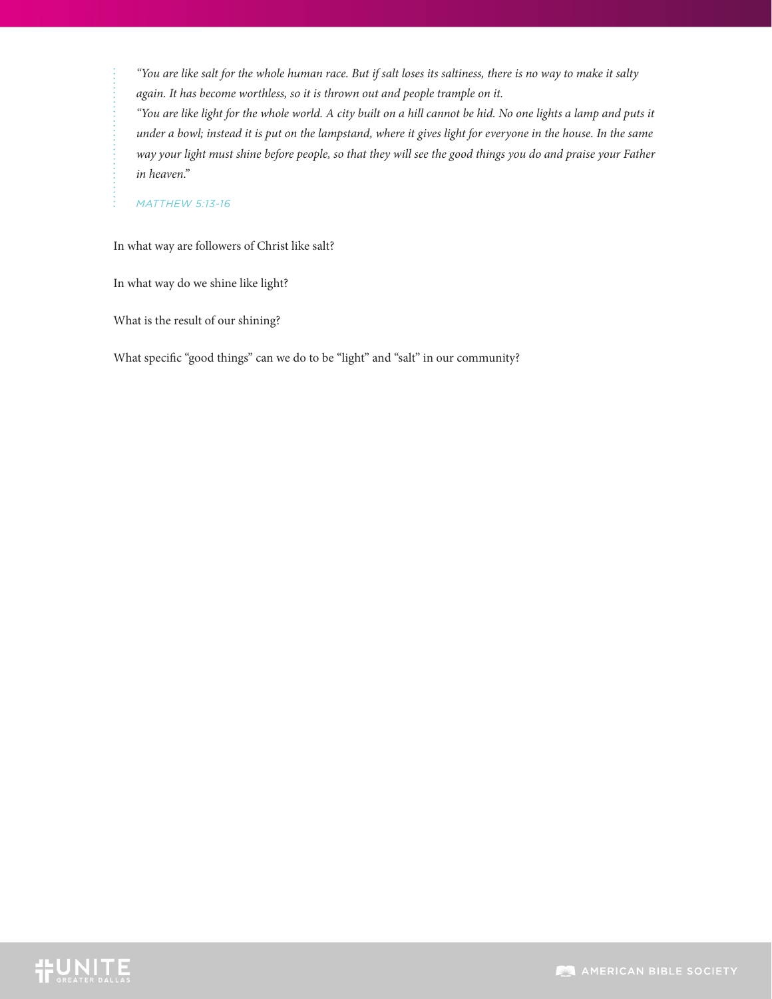*"You are like salt for the whole human race. But if salt loses its saltiness, there is no way to make it salty again. It has become worthless, so it is thrown out and people trample on it.*

*"You are like light for the whole world. A city built on a hill cannot be hid. No one lights a lamp and puts it under a bowl; instead it is put on the lampstand, where it gives light for everyone in the house. In the same way your light must shine before people, so that they will see the good things you do and praise your Father in heaven."*

#### *MATTHEW 5:13-16*

In what way are followers of Christ like salt?

In what way do we shine like light?

What is the result of our shining?

What specific "good things" can we do to be "light" and "salt" in our community?

# **TEUNITE**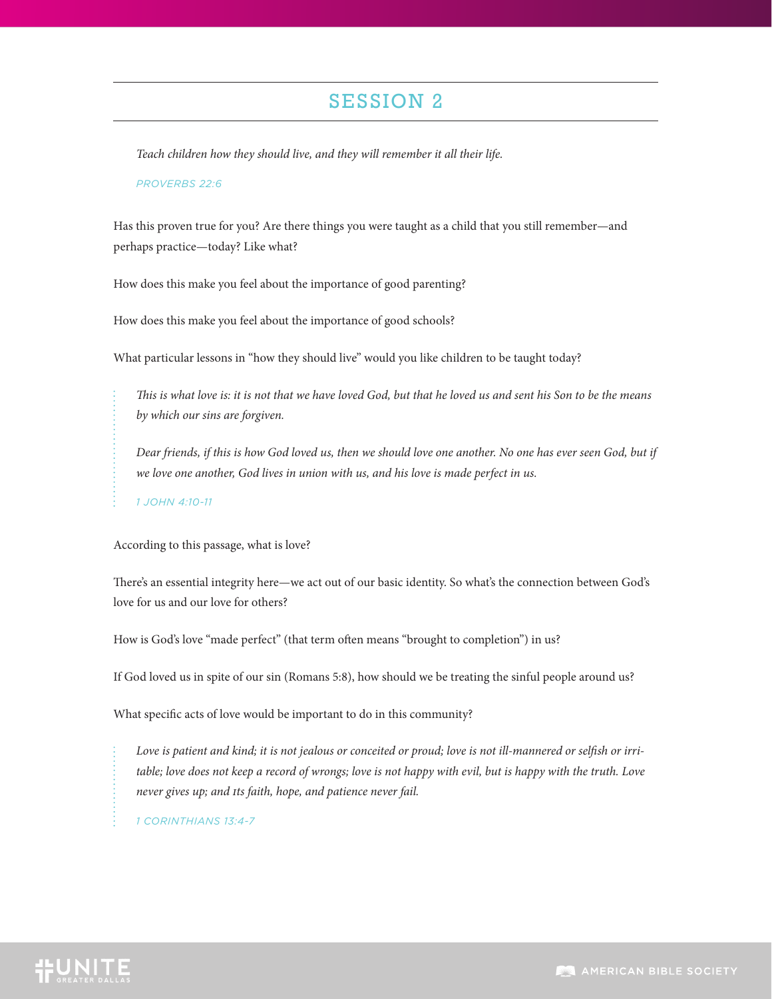*Teach children how they should live, and they will remember it all their life.*

#### *PROVERBS 22:6*

Has this proven true for you? Are there things you were taught as a child that you still remember—and perhaps practice—today? Like what?

How does this make you feel about the importance of good parenting?

How does this make you feel about the importance of good schools?

What particular lessons in "how they should live" would you like children to be taught today?

*This is what love is: it is not that we have loved God, but that he loved us and sent his Son to be the means by which our sins are forgiven.*

*Dear friends, if this is how God loved us, then we should love one another. No one has ever seen God, but if we love one another, God lives in union with us, and his love is made perfect in us.*

*1 JOHN 4:10-11*

According to this passage, what is love?

There's an essential integrity here—we act out of our basic identity. So what's the connection between God's love for us and our love for others?

How is God's love "made perfect" (that term often means "brought to completion") in us?

If God loved us in spite of our sin (Romans 5:8), how should we be treating the sinful people around us?

What specific acts of love would be important to do in this community?

*Love is patient and kind; it is not jealous or conceited or proud; love is not ill-mannered or selfish or irri*table; love does not keep a record of wrongs; love is not happy with evil, but is happy with the truth. Love *never gives up; and its faith, hope, and patience never fail.*

*1 CORINTHIANS 13:4-7*

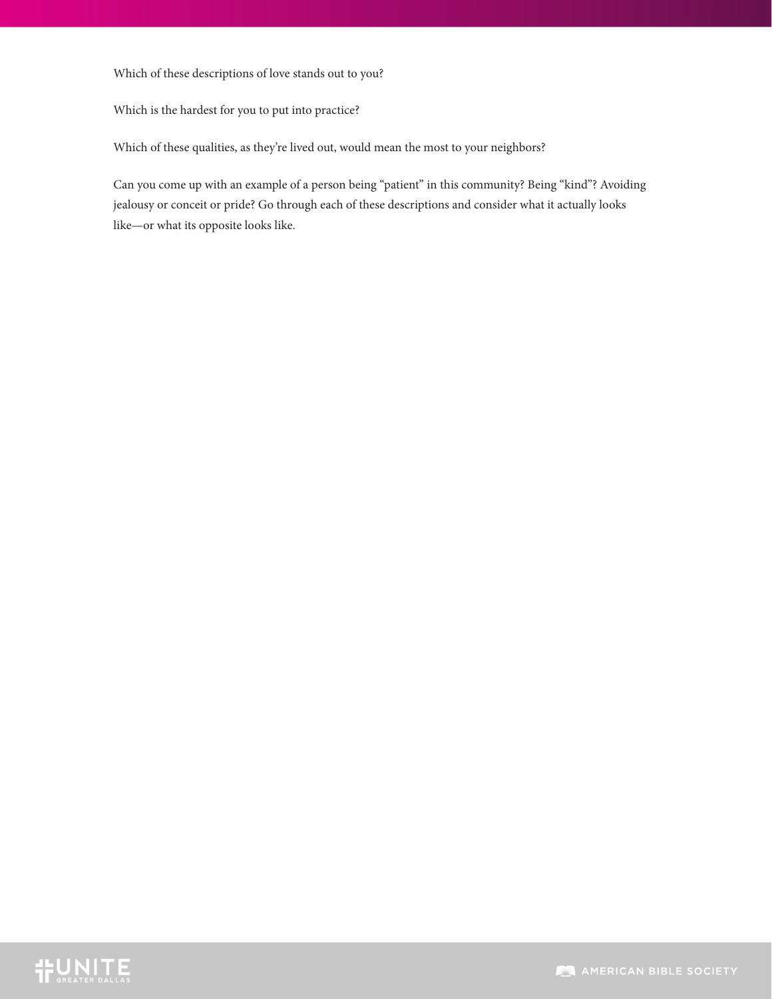#### Which of these descriptions of love stands out to you?

Which is the hardest for you to put into practice?

Which of these qualities, as they're lived out, would mean the most to your neighbors?

Can you come up with an example of a person being "patient" in this community? Being "kind"? Avoiding jealousy or conceit or pride? Go through each of these descriptions and consider what it actually looks like—or what its opposite looks like.

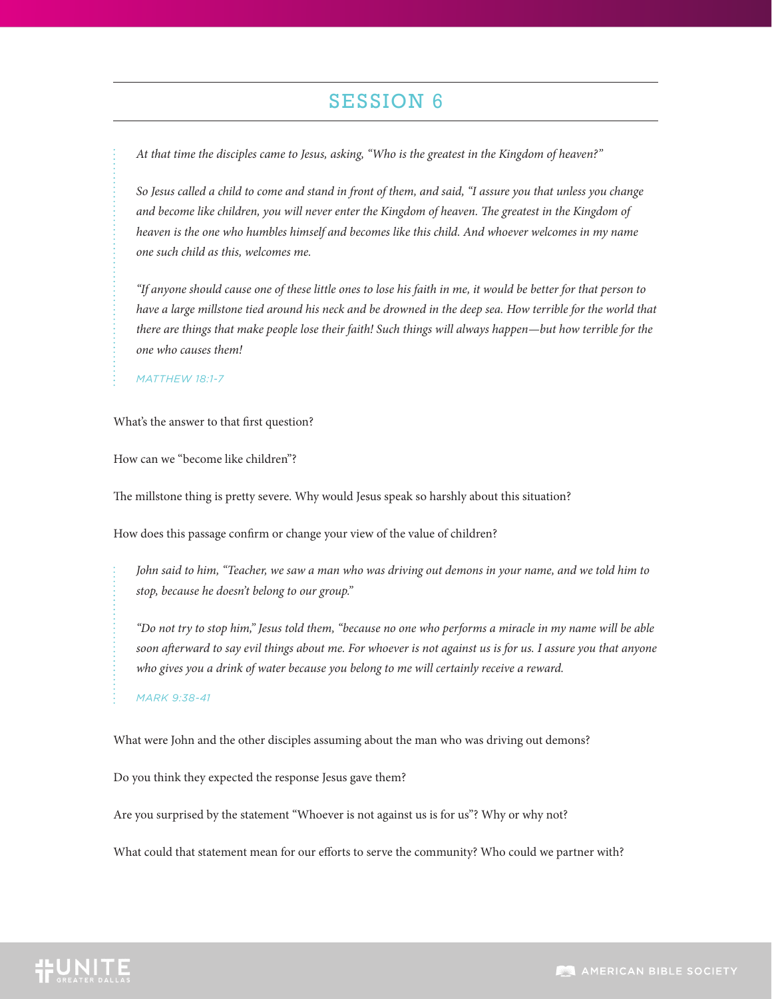*At that time the disciples came to Jesus, asking, "Who is the greatest in the Kingdom of heaven?"*

*So Jesus called a child to come and stand in front of them, and said, "I assure you that unless you change and become like children, you will never enter the Kingdom of heaven. The greatest in the Kingdom of heaven is the one who humbles himself and becomes like this child. And whoever welcomes in my name one such child as this, welcomes me.*

*"If anyone should cause one of these little ones to lose his faith in me, it would be better for that person to*  have a large millstone tied around his neck and be drowned in the deep sea. How terrible for the world that *there are things that make people lose their faith! Such things will always happen—but how terrible for the one who causes them!*

*MATTHEW 18:1-7*

What's the answer to that first question?

How can we "become like children"?

The millstone thing is pretty severe. Why would Jesus speak so harshly about this situation?

How does this passage confirm or change your view of the value of children?

*John said to him, "Teacher, we saw a man who was driving out demons in your name, and we told him to stop, because he doesn't belong to our group."*

*"Do not try to stop him," Jesus told them, "because no one who performs a miracle in my name will be able soon afterward to say evil things about me. For whoever is not against us is for us. I assure you that anyone who gives you a drink of water because you belong to me will certainly receive a reward.*

*MARK 9:38-41*

What were John and the other disciples assuming about the man who was driving out demons?

Do you think they expected the response Jesus gave them?

Are you surprised by the statement "Whoever is not against us is for us"? Why or why not?

What could that statement mean for our efforts to serve the community? Who could we partner with?

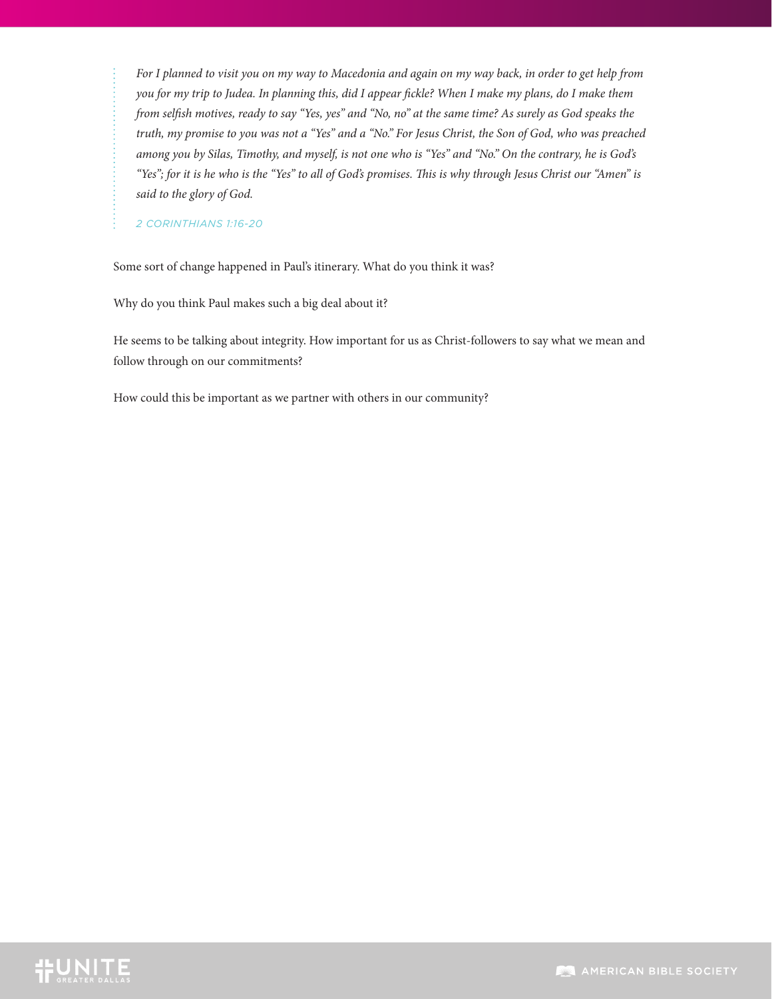*For I planned to visit you on my way to Macedonia and again on my way back, in order to get help from you for my trip to Judea. In planning this, did I appear fickle? When I make my plans, do I make them from selfish motives, ready to say "Yes, yes" and "No, no" at the same time? As surely as God speaks the truth, my promise to you was not a "Yes" and a "No." For Jesus Christ, the Son of God, who was preached among you by Silas, Timothy, and myself, is not one who is "Yes" and "No." On the contrary, he is God's "Yes"; for it is he who is the "Yes" to all of God's promises. This is why through Jesus Christ our "Amen" is said to the glory of God.*

*2 CORINTHIANS 1:16-20*

Some sort of change happened in Paul's itinerary. What do you think it was?

Why do you think Paul makes such a big deal about it?

He seems to be talking about integrity. How important for us as Christ-followers to say what we mean and follow through on our commitments?

How could this be important as we partner with others in our community?

# **IFUNITE**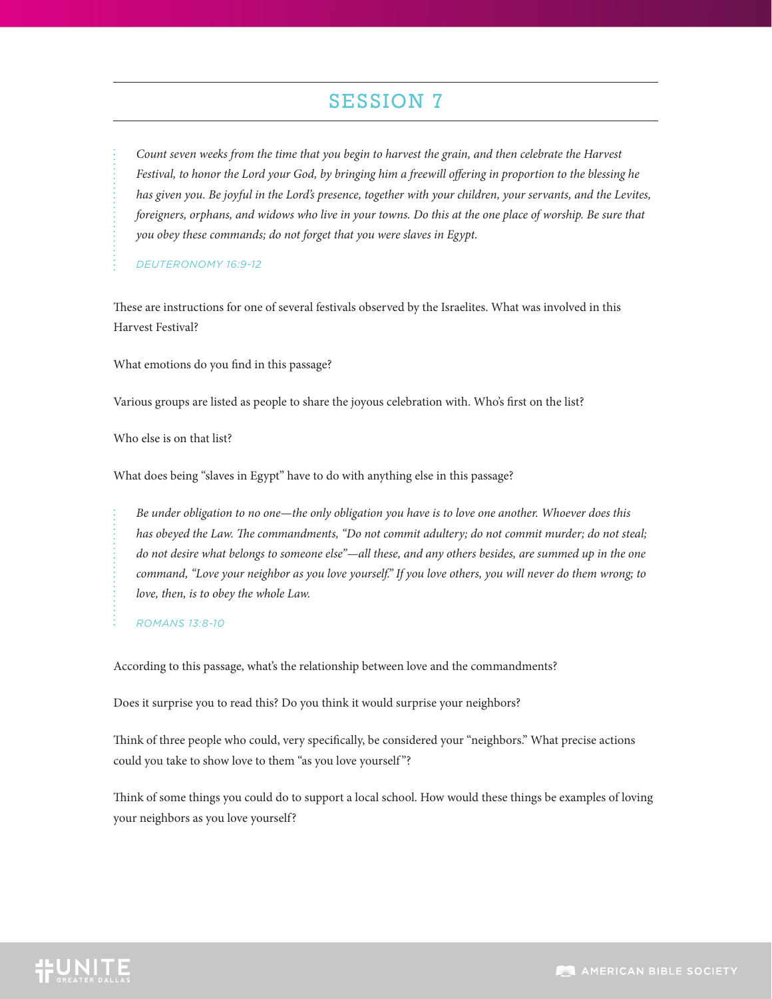*Count seven weeks from the time that you begin to harvest the grain, and then celebrate the Harvest Festival, to honor the Lord your God, by bringing him a freewill offering in proportion to the blessing he has given you. Be joyful in the Lord's presence, together with your children, your servants, and the Levites, foreigners, orphans, and widows who live in your towns. Do this at the one place of worship. Be sure that you obey these commands; do not forget that you were slaves in Egypt.*

*DEUTERONOMY 16:9-12*

These are instructions for one of several festivals observed by the Israelites. What was involved in this Harvest Festival?

What emotions do you find in this passage?

Various groups are listed as people to share the joyous celebration with. Who's first on the list?

Who else is on that list?

What does being "slaves in Egypt" have to do with anything else in this passage?

*Be under obligation to no one—the only obligation you have is to love one another. Whoever does this has obeyed the Law. The commandments, "Do not commit adultery; do not commit murder; do not steal; do not desire what belongs to someone else"—all these, and any others besides, are summed up in the one command, "Love your neighbor as you love yourself." If you love others, you will never do them wrong; to love, then, is to obey the whole Law.*

*ROMANS 13:8-10*

According to this passage, what's the relationship between love and the commandments?

Does it surprise you to read this? Do you think it would surprise your neighbors?

Think of three people who could, very specifically, be considered your "neighbors." What precise actions could you take to show love to them "as you love yourself "?

Think of some things you could do to support a local school. How would these things be examples of loving your neighbors as you love yourself?

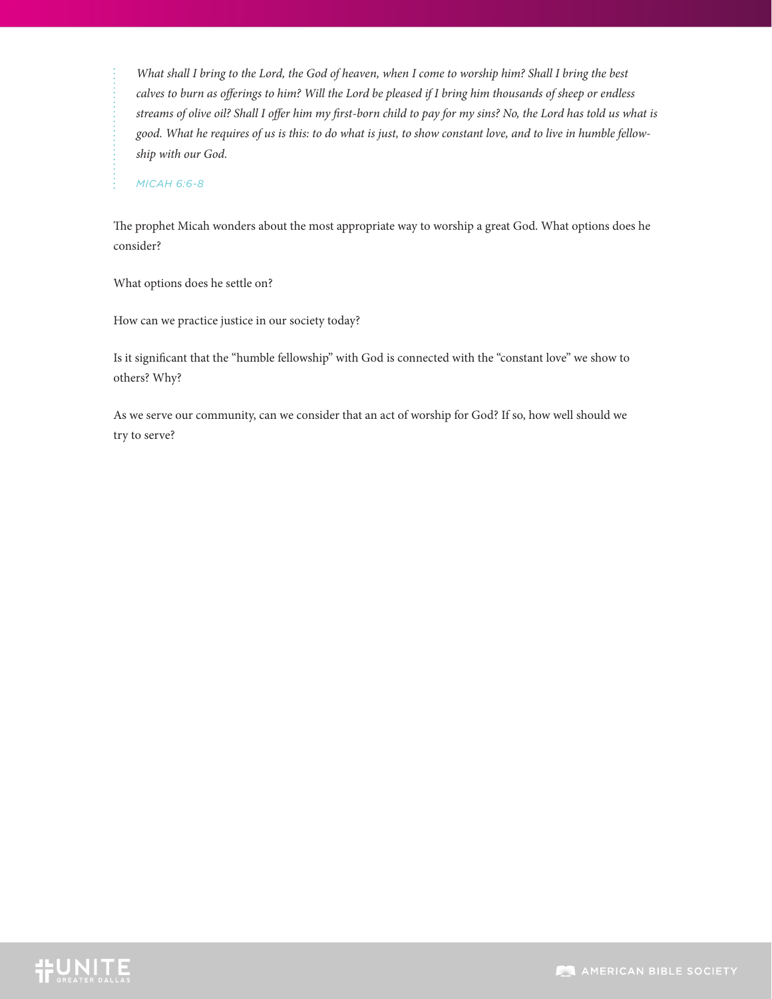*What shall I bring to the Lord, the God of heaven, when I come to worship him? Shall I bring the best calves to burn as offerings to him? Will the Lord be pleased if I bring him thousands of sheep or endless streams of olive oil? Shall I offer him my first-born child to pay for my sins? No, the Lord has told us what is good. What he requires of us is this: to do what is just, to show constant love, and to live in humble fellowship with our God.*

*MICAH 6:6-8*

The prophet Micah wonders about the most appropriate way to worship a great God. What options does he consider?

What options does he settle on?

How can we practice justice in our society today?

Is it significant that the "humble fellowship" with God is connected with the "constant love" we show to others? Why?

As we serve our community, can we consider that an act of worship for God? If so, how well should we try to serve?

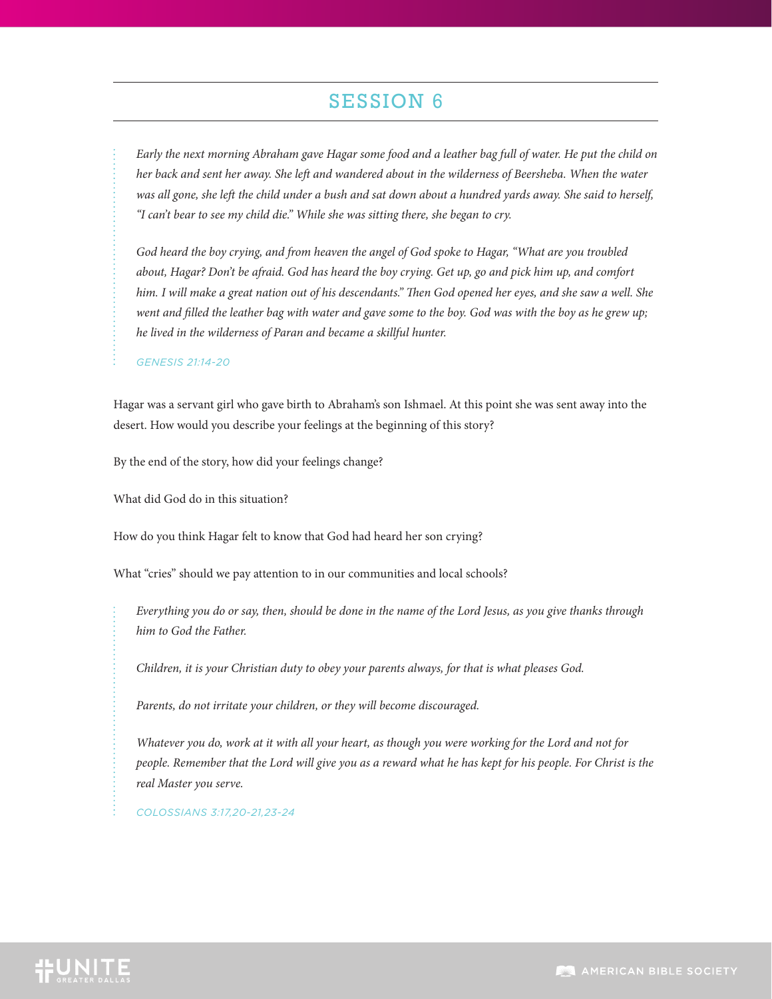*Early the next morning Abraham gave Hagar some food and a leather bag full of water. He put the child on her back and sent her away. She left and wandered about in the wilderness of Beersheba. When the water was all gone, she left the child under a bush and sat down about a hundred yards away. She said to herself, "I can't bear to see my child die." While she was sitting there, she began to cry.*

*God heard the boy crying, and from heaven the angel of God spoke to Hagar, "What are you troubled about, Hagar? Don't be afraid. God has heard the boy crying. Get up, go and pick him up, and comfort him. I will make a great nation out of his descendants." Then God opened her eyes, and she saw a well. She went and filled the leather bag with water and gave some to the boy. God was with the boy as he grew up; he lived in the wilderness of Paran and became a skillful hunter.*

*GENESIS 21:14-20*

Hagar was a servant girl who gave birth to Abraham's son Ishmael. At this point she was sent away into the desert. How would you describe your feelings at the beginning of this story?

By the end of the story, how did your feelings change?

What did God do in this situation?

How do you think Hagar felt to know that God had heard her son crying?

What "cries" should we pay attention to in our communities and local schools?

*Everything you do or say, then, should be done in the name of the Lord Jesus, as you give thanks through him to God the Father.*

*Children, it is your Christian duty to obey your parents always, for that is what pleases God.*

*Parents, do not irritate your children, or they will become discouraged.*

*Whatever you do, work at it with all your heart, as though you were working for the Lord and not for people. Remember that the Lord will give you as a reward what he has kept for his people. For Christ is the real Master you serve.*

*COLOSSIANS 3:17,20-21,23-24*